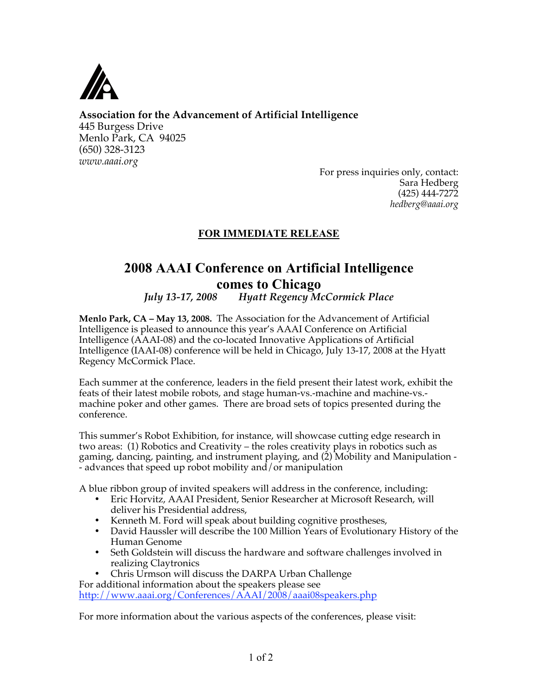

**Association for the Advancement of Artificial Intelligence**  445 Burgess Drive Menlo Park, CA 94025 (650) 328-3123 *www.aaai.org* 

> For press inquiries only, contact: Sara Hedberg (425) 444-7272 *hedberg@aaai.org*

## **FOR IMMEDIATE RELEASE**

## **2008 AAAI Conference on Artificial Intelligence comes to Chicago**

*July 13-17, 2008 Hyatt Regency McCormick Place* 

**Menlo Park, CA – May 13, 2008.** The Association for the Advancement of Artificial Intelligence is pleased to announce this year's AAAI Conference on Artificial Intelligence (AAAI-08) and the co-located Innovative Applications of Artificial Intelligence (IAAI-08) conference will be held in Chicago, July 13-17, 2008 at the Hyatt Regency McCormick Place.

Each summer at the conference, leaders in the field present their latest work, exhibit the feats of their latest mobile robots, and stage human-vs.-machine and machine-vs. machine poker and other games. There are broad sets of topics presented during the conference.

This summer's Robot Exhibition, for instance, will showcase cutting edge research in two areas: (1) Robotics and Creativity – the roles creativity plays in robotics such as gaming, dancing, painting, and instrument playing, and (2) Mobility and Manipulation - - advances that speed up robot mobility and/or manipulation

A blue ribbon group of invited speakers will address in the conference, including:

- Eric Horvitz, AAAI President, Senior Researcher at Microsoft Research, will deliver his Presidential address,
- Kenneth M. Ford will speak about building cognitive prostheses,
- David Haussler will describe the 100 Million Years of Evolutionary History of the Human Genome
- Seth Goldstein will discuss the hardware and software challenges involved in realizing Claytronics
- Chris Urmson will discuss the DARPA Urban Challenge

For additional information about the speakers please see http://www.aaai.org/Conferences/AAAI/2008/aaai08speakers.php

For more information about the various aspects of the conferences, please visit: